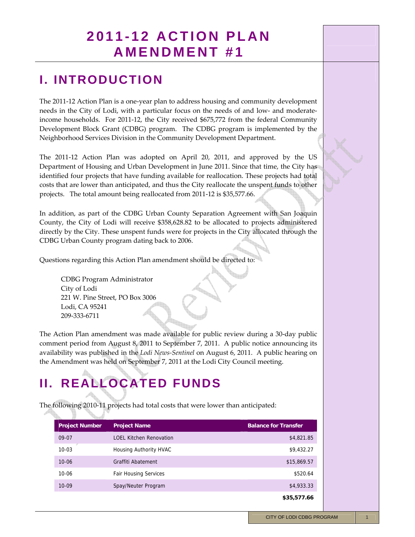### **2011-12 ACTION PLAN AMENDMENT #1**

### **I. INTRODUCTION**

The 2011-12 Action Plan is a one-year plan to address housing and community development needs in the City of Lodi, with a particular focus on the needs of and low- and moderateincome households. For 2011‐12, the City received \$675,772 from the federal Community Development Block Grant (CDBG) program. The CDBG program is implemented by the Neighborhood Services Division in the Community Development Department.

The 2011‐12 Action Plan was adopted on April 20, 2011, and approved by the US Department of Housing and Urban Development in June 2011. Since that time, the City has identified four projects that have funding available for reallocation. These projects had total costs that are lower than anticipated, and thus the City reallocate the unspent funds to other projects. The total amount being reallocated from 2011-12 is \$35,577.66.

In addition, as part of the CDBG Urban County Separation Agreement with San Joaquin County, the City of Lodi will receive \$358,628.82 to be allocated to projects administered directly by the City. These unspent funds were for projects in the City allocated through the CDBG Urban County program dating back to 2006.

Questions regarding this Action Plan amendment should be directed to:

CDBG Program Administrator City of Lodi 221 W. Pine Street, PO Box 3006 Lodi, CA 95241 209‐333‐6711

The Action Plan amendment was made available for public review during a 30‐day public comment period from August 8, 2011 to September 7, 2011. A public notice announcing its availability was published in the *Lodi News‐Sentinel* on August 6, 2011. A public hearing on the Amendment was held on September 7, 2011 at the Lodi City Council meeting.

# **II. REALLOCATED FUNDS**

The following 2010‐11 projects had total costs that were lower than anticipated:

| <b>Project Number</b> | <b>Project Name</b>            | <b>Balance for Transfer</b> |
|-----------------------|--------------------------------|-----------------------------|
| 09-07                 | <b>LOEL Kitchen Renovation</b> | \$4,821.85                  |
| $10 - 03$             | Housing Authority HVAC         | \$9,432.27                  |
| $10 - 06$             | Graffiti Abatement             | \$15,869.57                 |
| $10 - 06$             | <b>Fair Housing Services</b>   | \$520.64                    |
| $10 - 09$             | Spay/Neuter Program            | \$4,933.33                  |
|                       |                                | \$35,577.66                 |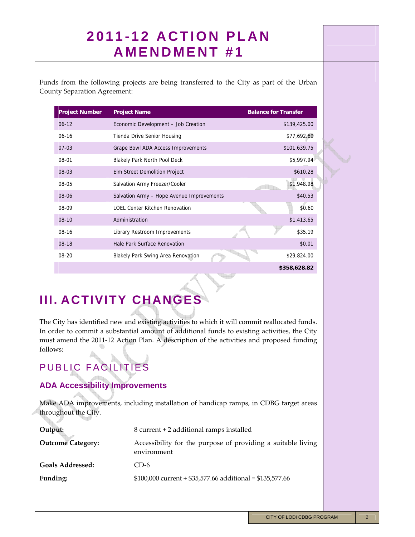# **2011-12 ACTION PLAN AMENDMENT #1**

Funds from the following projects are being transferred to the City as part of the Urban County Separation Agreement:

| <b>Project Number</b> | <b>Project Name</b>                       | <b>Balance for Transfer</b> |
|-----------------------|-------------------------------------------|-----------------------------|
| $06 - 12$             | Economic Development - Job Creation       | \$139,425.00                |
| $06-16$               | Tienda Drive Senior Housing               | \$77,692.89                 |
| $07-03$               | Grape Bowl ADA Access Improvements        | \$101,639.75                |
| 08-01                 | <b>Blakely Park North Pool Deck</b>       | \$5,997.94                  |
| $08-03$               | Elm Street Demolition Project             | \$610.28                    |
| 08-05                 | Salvation Army Freezer/Cooler             | \$1,948.98                  |
| $08-06$               | Salvation Army - Hope Avenue Improvements | \$40.53                     |
| 08-09                 | <b>LOEL Center Kitchen Renovation</b>     | \$0.60                      |
| $08-10$               | Administration                            | \$1,413.65                  |
| 08-16                 | Library Restroom Improvements             | \$35.19                     |
| $08-18$               | Hale Park Surface Renovation              | \$0.01                      |
| $08-20$               | <b>Blakely Park Swing Area Renovation</b> | \$29,824.00                 |
|                       |                                           | \$358,628.82                |

**The Second** 

## **III. ACTIVITY CHANGES**

The City has identified new and existing activities to which it will commit reallocated funds. In order to commit a substantial amount of additional funds to existing activities, the City must amend the 2011‐12 Action Plan. A description of the activities and proposed funding follows:

# PUBLIC FACILITIES

### **ADA Accessibility Improvements**

Make ADA improvements, including installation of handicap ramps, in CDBG target areas throughout the City.

| Output:                  | 8 current + 2 additional ramps installed                                    |
|--------------------------|-----------------------------------------------------------------------------|
| <b>Outcome Category:</b> | Accessibility for the purpose of providing a suitable living<br>environment |
| Goals Addressed:         | CD-6                                                                        |
| Funding:                 | $$100,000$ current + \$35,577.66 additional = \$135,577.66                  |